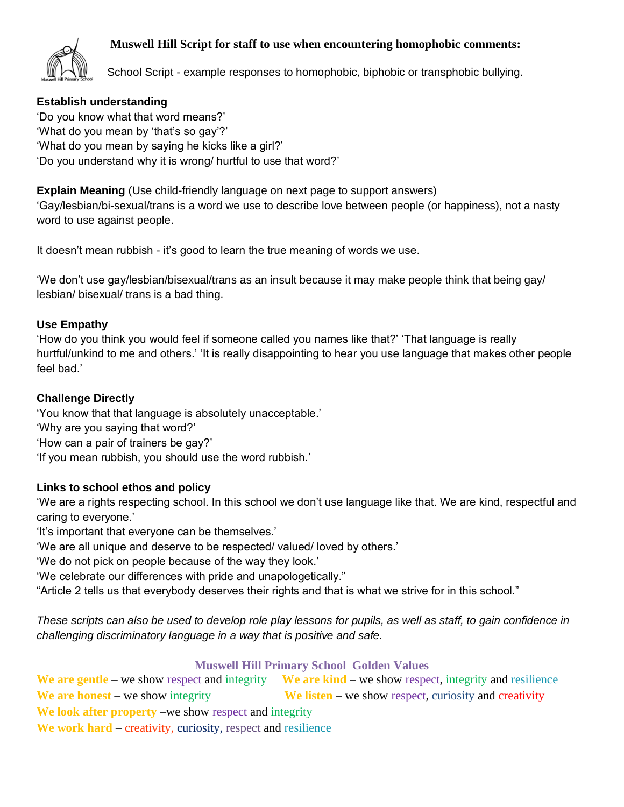## **Muswell Hill Script for staff to use when encountering homophobic comments:**



School Script - example responses to homophobic, biphobic or transphobic bullying.

# **Establish understanding**

'Do you know what that word means?' 'What do you mean by 'that's so gay'?' 'What do you mean by saying he kicks like a girl?' 'Do you understand why it is wrong/ hurtful to use that word?'

**Explain Meaning** (Use child-friendly language on next page to support answers) 'Gay/lesbian/bi-sexual/trans is a word we use to describe love between people (or happiness), not a nasty word to use against people.

It doesn't mean rubbish - it's good to learn the true meaning of words we use.

'We don't use gay/lesbian/bisexual/trans as an insult because it may make people think that being gay/ lesbian/ bisexual/ trans is a bad thing.

### **Use Empathy**

'How do you think you would feel if someone called you names like that?' 'That language is really hurtful/unkind to me and others.' 'It is really disappointing to hear you use language that makes other people feel bad.'

### **Challenge Directly**

'You know that that language is absolutely unacceptable.' 'Why are you saying that word?' 'How can a pair of trainers be gay?'

'If you mean rubbish, you should use the word rubbish.'

## **Links to school ethos and policy**

'We are a rights respecting school. In this school we don't use language like that. We are kind, respectful and caring to everyone.'

'It's important that everyone can be themselves.'

'We are all unique and deserve to be respected/ valued/ loved by others.'

'We do not pick on people because of the way they look.'

'We celebrate our differences with pride and unapologetically."

"Article 2 tells us that everybody deserves their rights and that is what we strive for in this school."

*These scripts can also be used to develop role play lessons for pupils, as well as staff, to gain confidence in challenging discriminatory language in a way that is positive and safe.*

## **Muswell Hill Primary School Golden Values**

We are gentle – we show respect and integrity We are kind – we show respect, integrity and resilience We are honest – we show integrity **We listen** – we show respect, curiosity and creativity **We look after property** –we show respect and integrity

We work hard – creativity, curiosity, respect and resilience